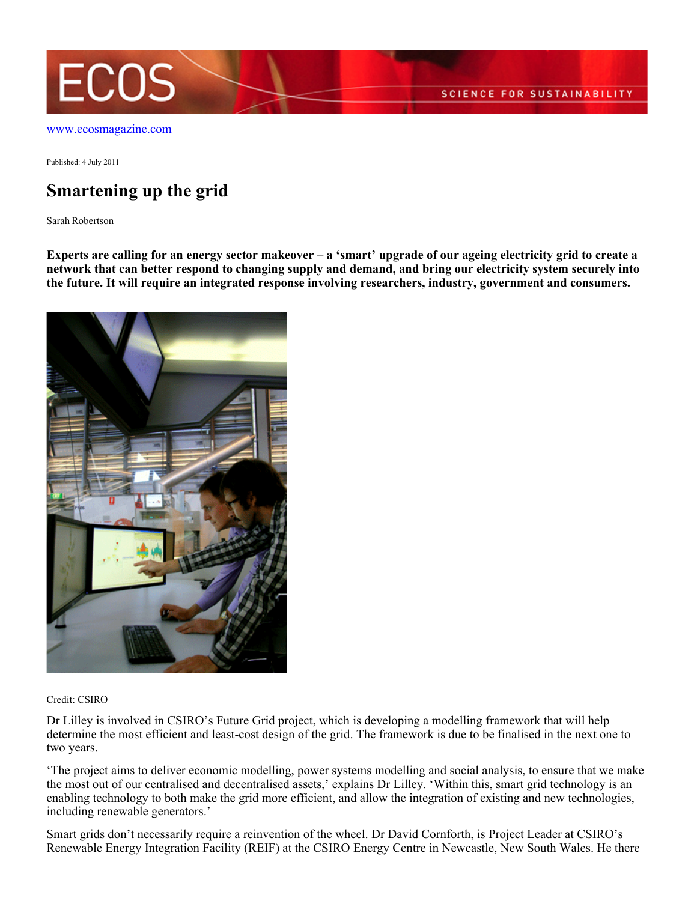

[www.ecosmagazine.com](http://www.ecosmagazine.com)

Published: 4 July 2011

# **Smartening up the grid**

Sarah Robertson

**Experts are calling for an energy sector makeover – a 'smart' upgrade of our ageing electricity grid to create a network that can better respond to changing supply and demand, and bring our electricity system securely into the future. It will require an integrated response involving researchers, industry, government and consumers.**



Credit: CSIRO

Dr Lilley is involved in CSIRO's Future Grid project, which is developing a modelling framework that will help determine the most efficient and least-cost design of the grid. The framework is due to be finalised in the next one to two years.

'The project aims to deliver economic modelling, power systems modelling and social analysis, to ensure that we make the most out of our centralised and decentralised assets,' explains Dr Lilley. 'Within this, smart grid technology is an enabling technology to both make the grid more efficient, and allow the integration of existing and new technologies, including renewable generators.'

Smart grids don't necessarily require a reinvention of the wheel. Dr David Cornforth, is Project Leader at CSIRO's Renewable Energy Integration Facility (REIF) at the CSIRO Energy Centre in Newcastle, New South Wales. He there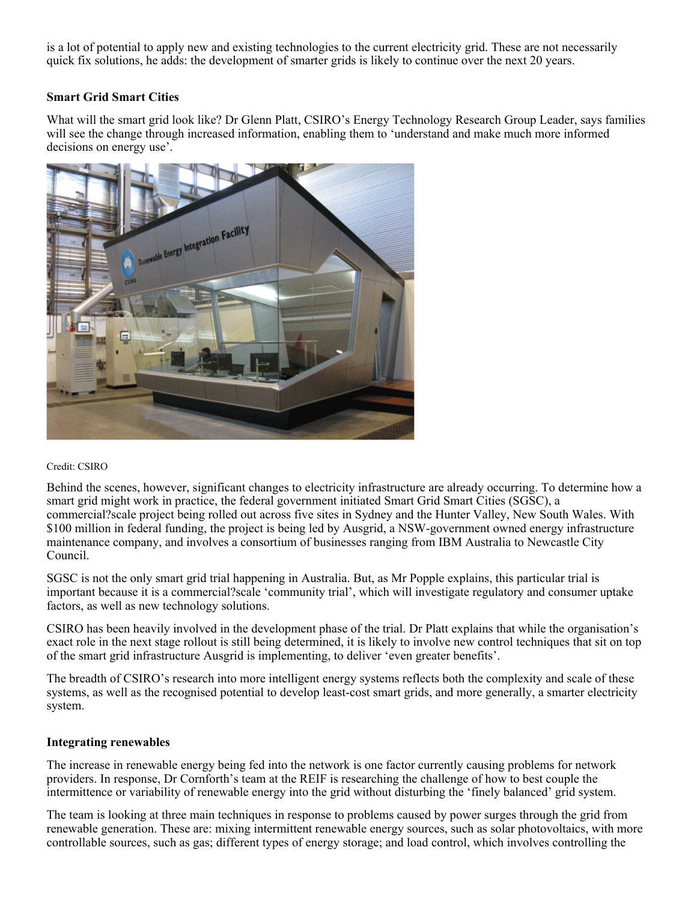is a lot of potential to apply new and existing technologies to the current electricity grid. These are not necessarily quick fix solutions, he adds: the development of smarter grids is likely to continue over the next 20 years.

## **Smart Grid Smart Cities**

What will the smart grid look like? Dr Glenn Platt, CSIRO's Energy Technology Research Group Leader, says families will see the change through increased information, enabling them to 'understand and make much more informed decisions on energy use'.



#### Credit: CSIRO

Behind the scenes, however, significant changes to electricity infrastructure are already occurring. To determine how a smart grid might work in practice, the federal government initiated Smart Grid Smart Cities (SGSC), a commercial?scale project being rolled out across five sites in Sydney and the Hunter Valley, New South Wales. With \$100 million in federal funding, the project is being led by Ausgrid, a NSW-government owned energy infrastructure maintenance company, and involves a consortium of businesses ranging from IBM Australia to Newcastle City Council.

SGSC is not the only smart grid trial happening in Australia. But, as Mr Popple explains, this particular trial is important because it is a commercial?scale 'community trial', which will investigate regulatory and consumer uptake factors, as well as new technology solutions.

CSIRO has been heavily involved in the development phase of the trial. Dr Platt explains that while the organisation's exact role in the next stage rollout is still being determined, it is likely to involve new control techniques that sit on top of the smart grid infrastructure Ausgrid is implementing, to deliver 'even greater benefits'.

The breadth of CSIRO's research into more intelligent energy systems reflects both the complexity and scale of these systems, as well as the recognised potential to develop least-cost smart grids, and more generally, a smarter electricity system.

### **Integrating renewables**

The increase in renewable energy being fed into the network is one factor currently causing problems for network providers. In response, Dr Cornforth's team at the REIF is researching the challenge of how to best couple the intermittence or variability of renewable energy into the grid without disturbing the 'finely balanced' grid system.

The team is looking at three main techniques in response to problems caused by power surges through the grid from renewable generation. These are: mixing intermittent renewable energy sources, such as solar photovoltaics, with more controllable sources, such as gas; different types of energy storage; and load control, which involves controlling the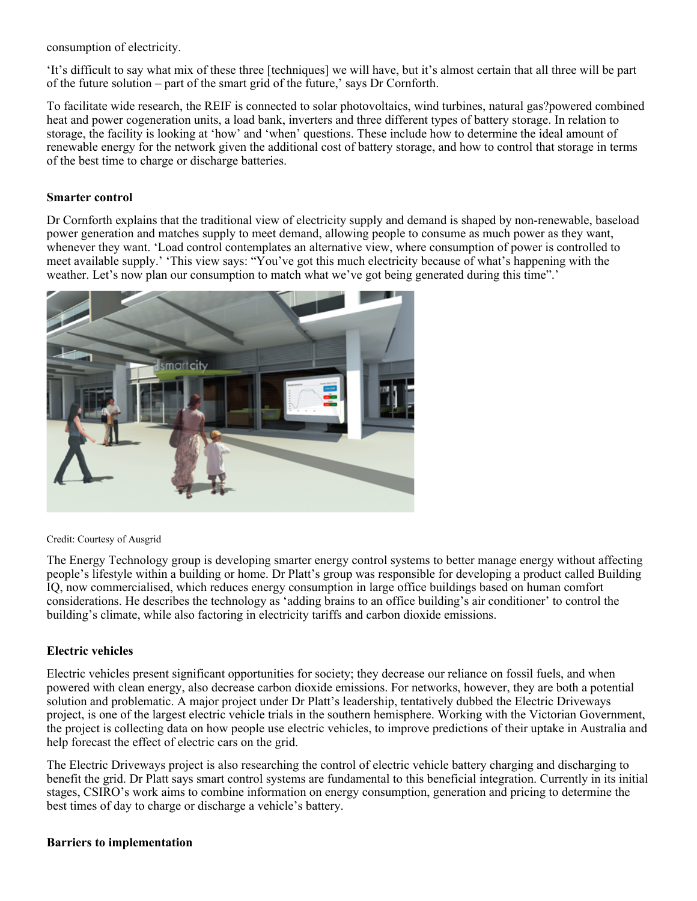consumption of electricity.

'It's difficult to say what mix of these three [techniques] we will have, but it's almost certain that all three will be part of the future solution – part of the smart grid of the future,' says Dr Cornforth.

To facilitate wide research, the REIF is connected to solar photovoltaics, wind turbines, natural gas?powered combined heat and power cogeneration units, a load bank, inverters and three different types of battery storage. In relation to storage, the facility is looking at 'how' and 'when' questions. These include how to determine the ideal amount of renewable energy for the network given the additional cost of battery storage, and how to control that storage in terms of the best time to charge or discharge batteries.

#### **Smarter control**

Dr Cornforth explains that the traditional view of electricity supply and demand is shaped by non-renewable, baseload power generation and matches supply to meet demand, allowing people to consume as much power as they want, whenever they want. 'Load control contemplates an alternative view, where consumption of power is controlled to meet available supply.' 'This view says: "You've got this much electricity because of what's happening with the weather. Let's now plan our consumption to match what we've got being generated during this time".'



Credit: Courtesy of Ausgrid

The Energy Technology group is developing smarter energy control systems to better manage energy without affecting people's lifestyle within a building or home. Dr Platt's group was responsible for developing a product called Building IQ, now commercialised, which reduces energy consumption in large office buildings based on human comfort considerations. He describes the technology as 'adding brains to an office building's air conditioner' to control the building's climate, while also factoring in electricity tariffs and carbon dioxide emissions.

### **Electric vehicles**

Electric vehicles present significant opportunities for society; they decrease our reliance on fossil fuels, and when powered with clean energy, also decrease carbon dioxide emissions. For networks, however, they are both a potential solution and problematic. A major project under Dr Platt's leadership, tentatively dubbed the Electric Driveways project, is one of the largest electric vehicle trials in the southern hemisphere. Working with the Victorian Government, the project is collecting data on how people use electric vehicles, to improve predictions of their uptake in Australia and help forecast the effect of electric cars on the grid.

The Electric Driveways project is also researching the control of electric vehicle battery charging and discharging to benefit the grid. Dr Platt says smart control systems are fundamental to this beneficial integration. Currently in its initial stages, CSIRO's work aims to combine information on energy consumption, generation and pricing to determine the best times of day to charge or discharge a vehicle's battery.

### **Barriers to implementation**